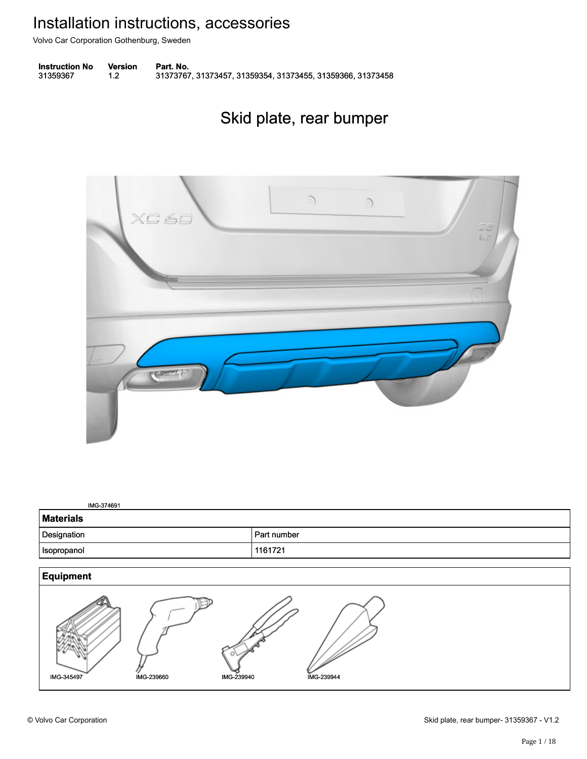Volvo Car Corporation Gothenburg, Sweden

**Instruction No** Version Part. No. 31359367 1.2 31373767, 31373457, 31359354, 31373455, 31359366, 31373458 313593671.231373767, 31373457, 31359354, 31373455, 31359366, 31373458

## Skid plate, rear bumper Skid plate, rear bumper



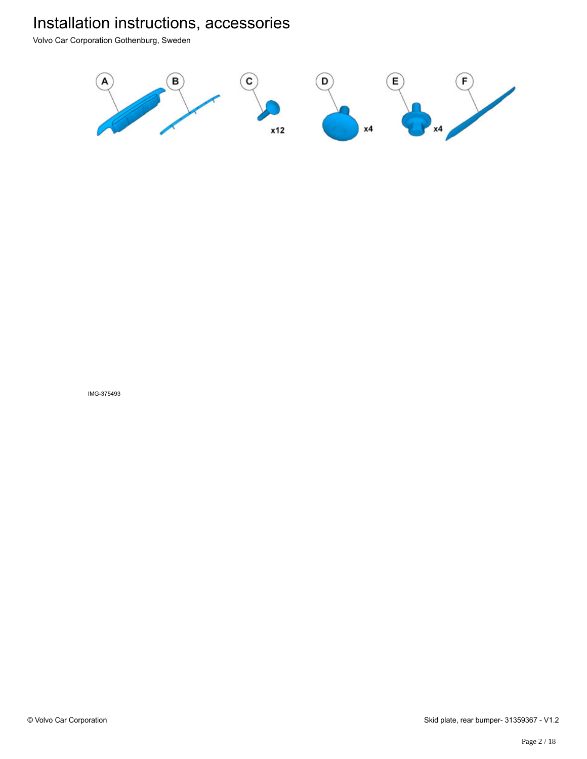Volvo Car Corporation Gothenburg, Sweden

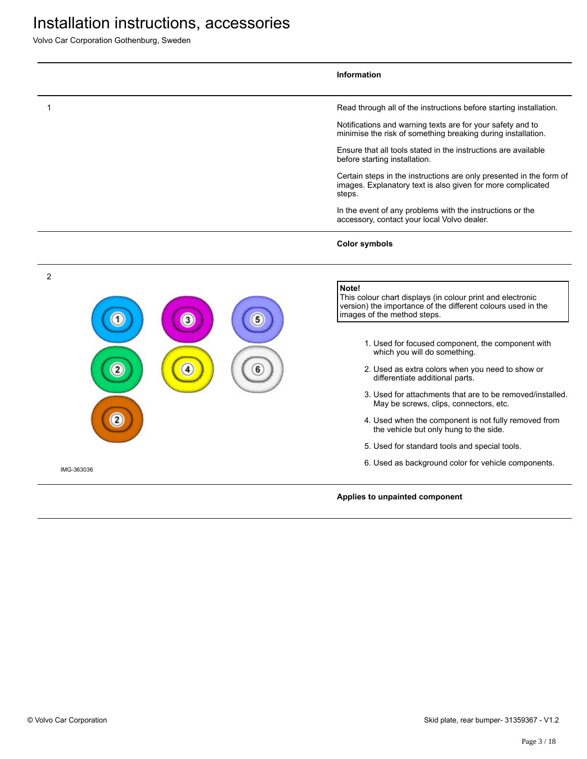|                | <b>Information</b>                                                                                                                                                 |
|----------------|--------------------------------------------------------------------------------------------------------------------------------------------------------------------|
| -1             | Read through all of the instructions before starting installation.                                                                                                 |
|                | Notifications and warning texts are for your safety and to<br>minimise the risk of something breaking during installation.                                         |
|                | Ensure that all tools stated in the instructions are available<br>before starting installation.                                                                    |
|                | Certain steps in the instructions are only presented in the form of<br>images. Explanatory text is also given for more complicated<br>steps.                       |
|                | In the event of any problems with the instructions or the<br>accessory, contact your local Volvo dealer.                                                           |
|                | <b>Color symbols</b>                                                                                                                                               |
| $\overline{c}$ |                                                                                                                                                                    |
| 5<br>3         | Note!<br>This colour chart displays (in colour print and electronic<br>version) the importance of the different colours used in the<br>images of the method steps. |
|                | 1. Used for focused component, the component with<br>which you will do something.                                                                                  |
|                | 2. Used as extra colors when you need to show or<br>differentiate additional parts.                                                                                |
|                | 3. Used for attachments that are to be removed/installed.<br>May be screws, clips, connectors, etc.                                                                |
|                | 4. Used when the component is not fully removed from<br>the vehicle but only hung to the side.                                                                     |
|                | 5. Used for standard tools and special tools.                                                                                                                      |
| IMG-363036     | 6. Used as background color for vehicle components.                                                                                                                |
|                | Applies to unpainted component                                                                                                                                     |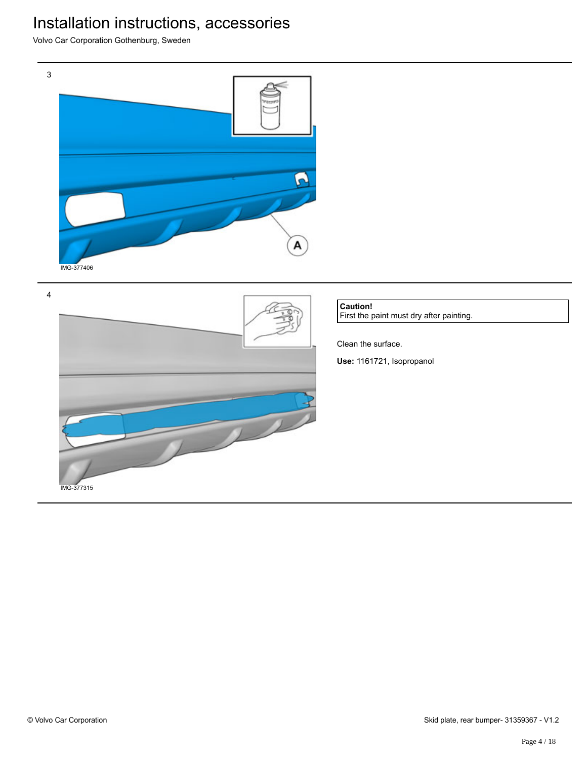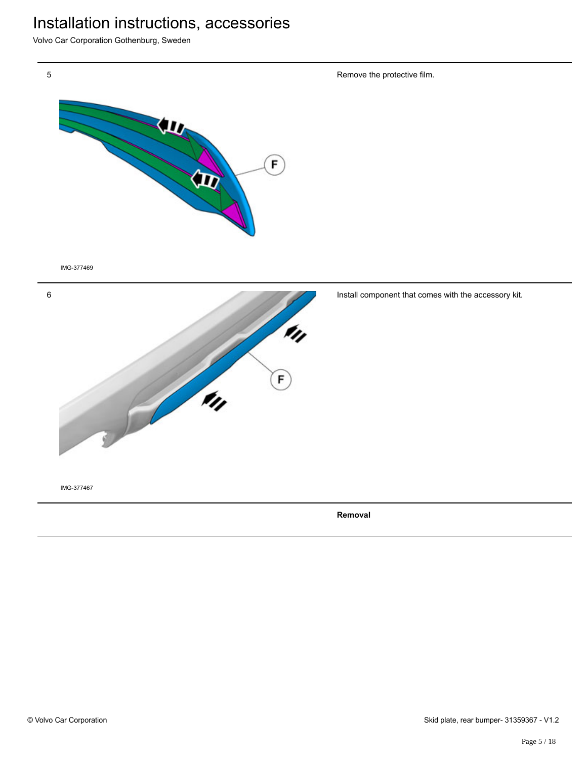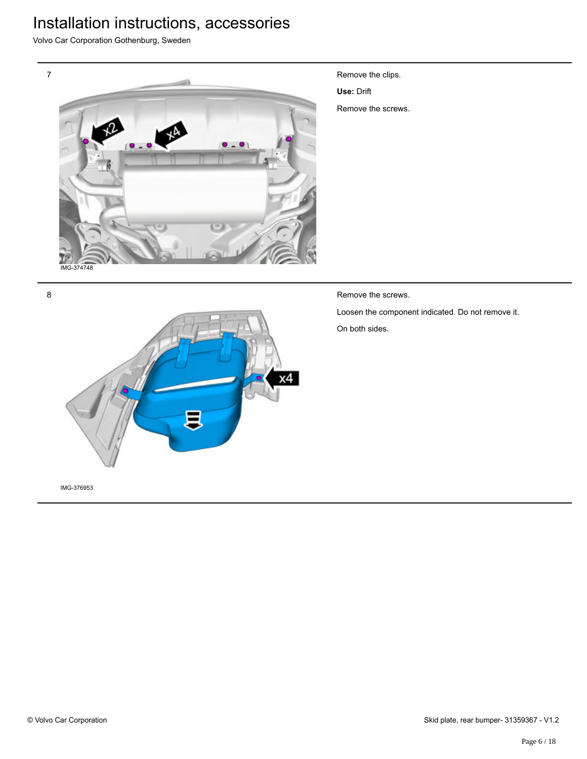Volvo Car Corporation Gothenburg, Sweden



- Remove the clips.
- **Use:** Drift
- Remove the screws.

Remove the screws.

Loosen the component indicated. Do not remove it. On both sides.

8

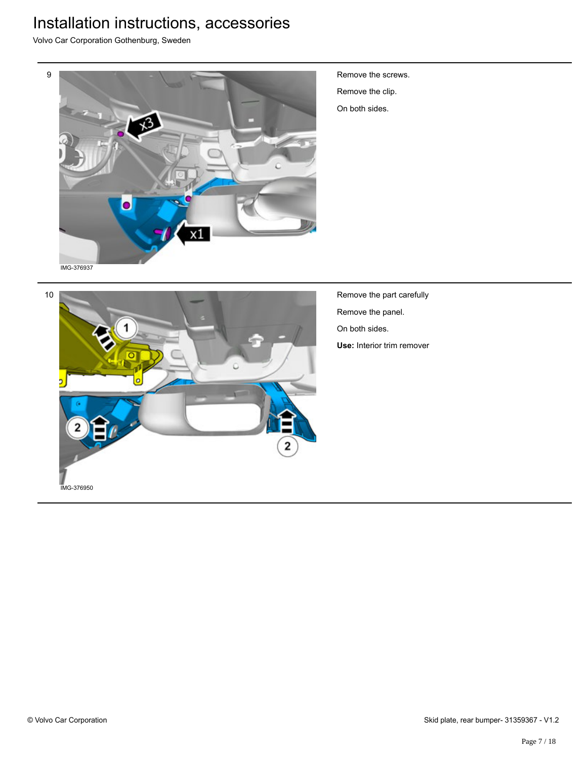Volvo Car Corporation Gothenburg, Sweden



Remove the screws. Remove the clip. On both sides.



Remove the part carefully Remove the panel. On both sides. **Use:** Interior trim remover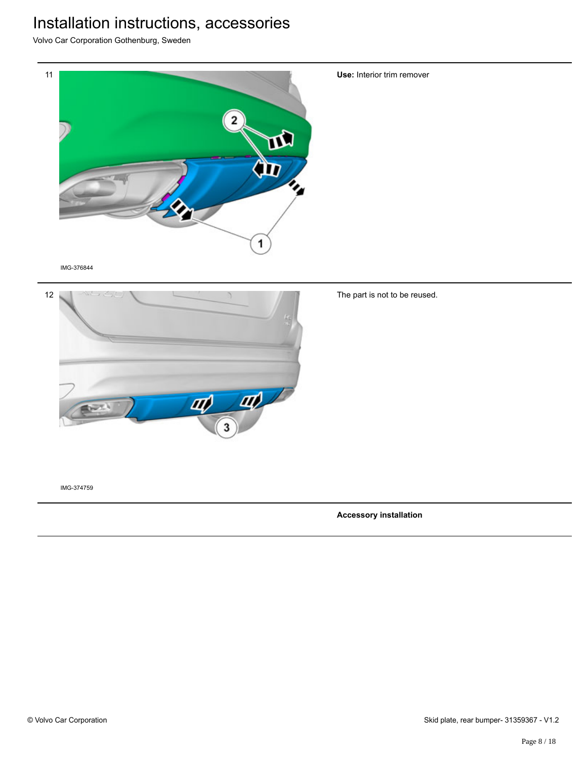Volvo Car Corporation Gothenburg, Sweden



IMG-376844



The part is not to be reused.

**Use:** Interior trim remover

IMG-374759

**Accessory installation**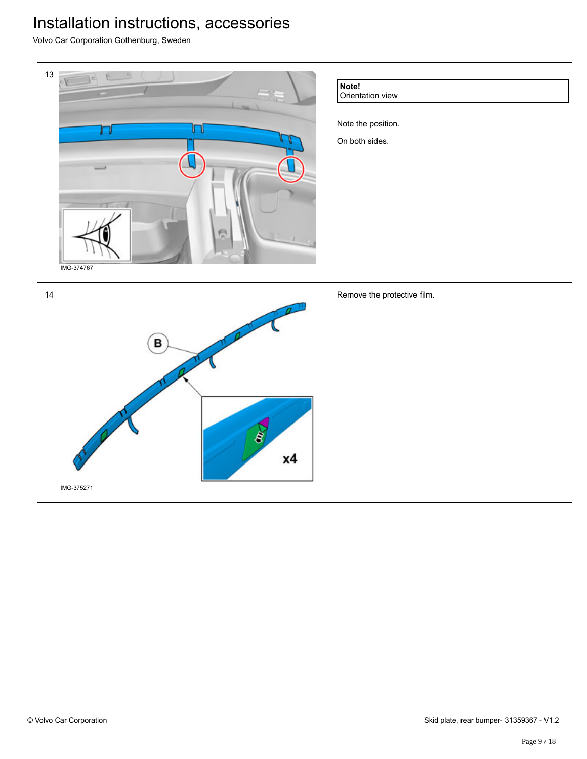Volvo Car Corporation Gothenburg, Sweden



**Note!**

Orientation view

Note the position. On both sides.

Remove the protective film.

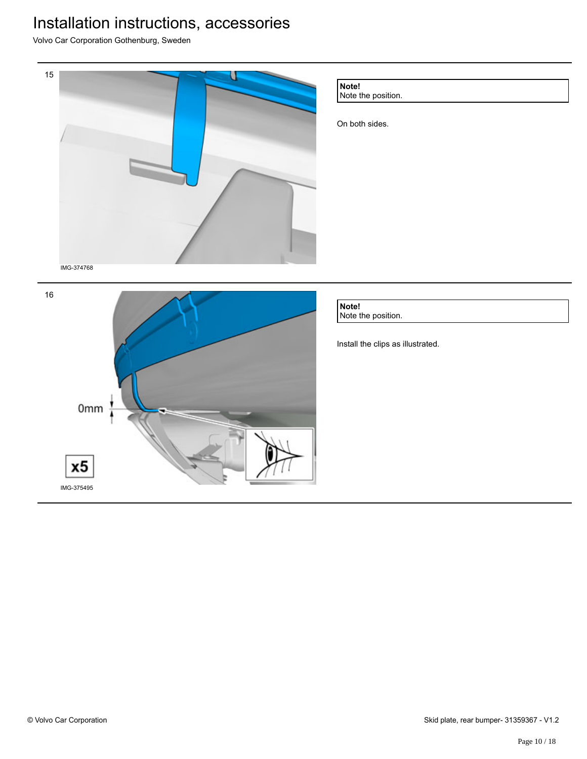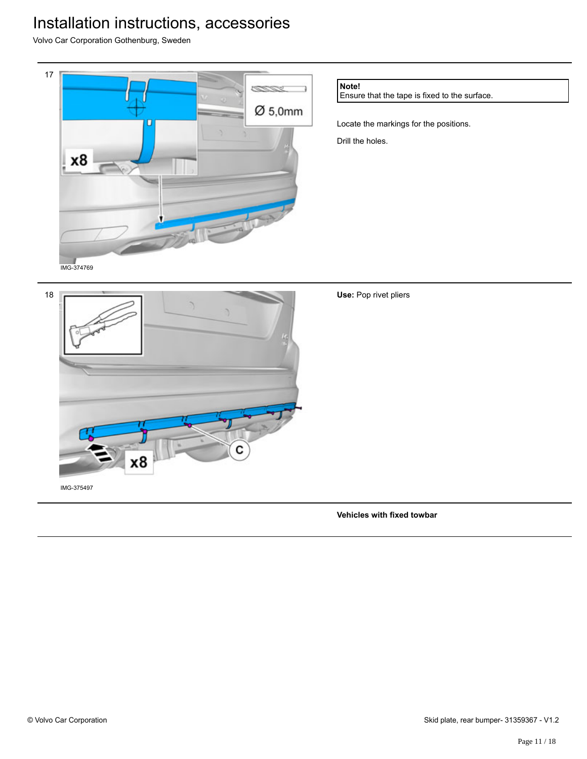Volvo Car Corporation Gothenburg, Sweden



**Note!**

Ensure that the tape is fixed to the surface.

Locate the markings for the positions. Drill the holes.



IMG-375497

**Vehicles with fixed towbar**

**Use:** Pop rivet pliers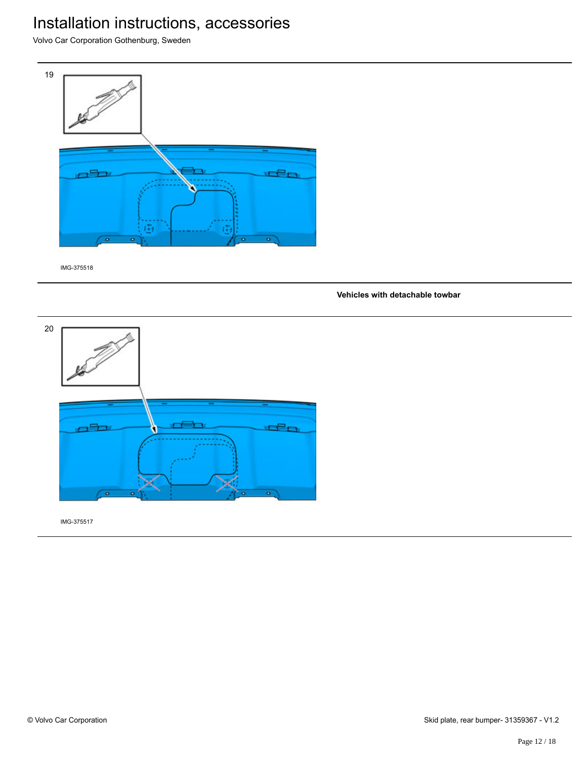Volvo Car Corporation Gothenburg, Sweden



IMG-375518

#### **Vehicles with detachable towbar**

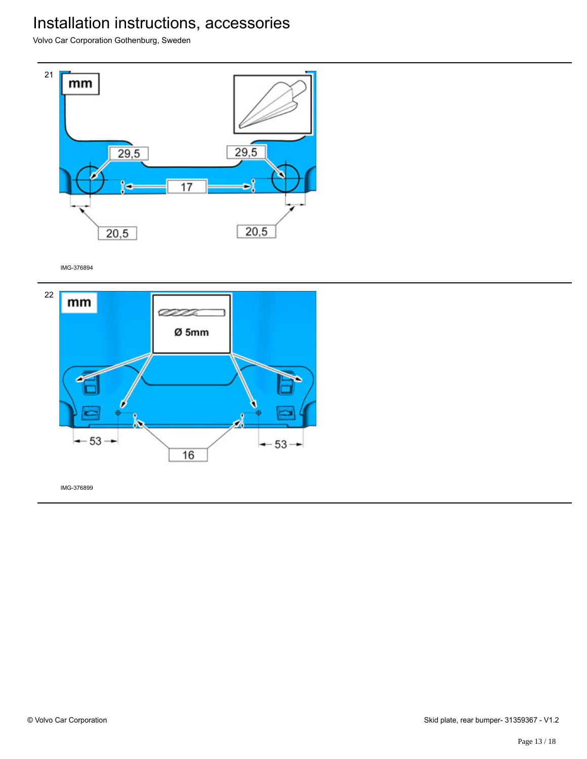Volvo Car Corporation Gothenburg, Sweden



IMG-376894

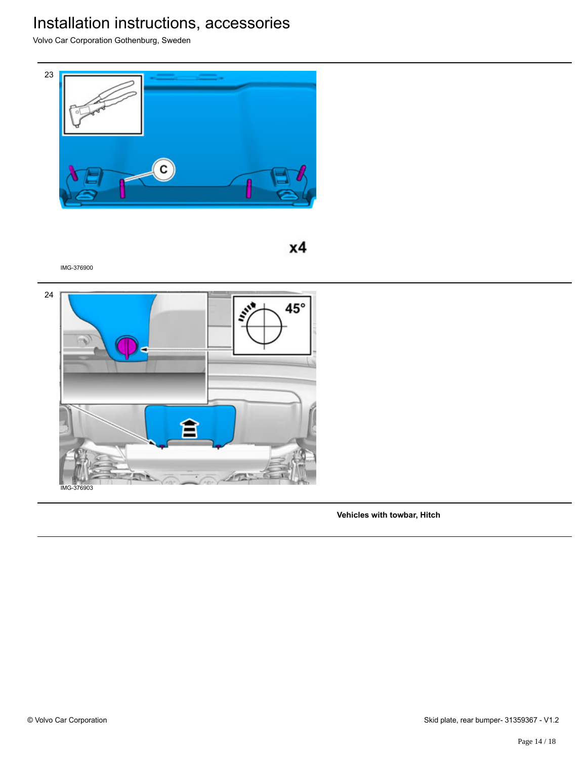Volvo Car Corporation Gothenburg, Sweden



 $x4$ 

IMG-376900



**Vehicles with towbar, Hitch**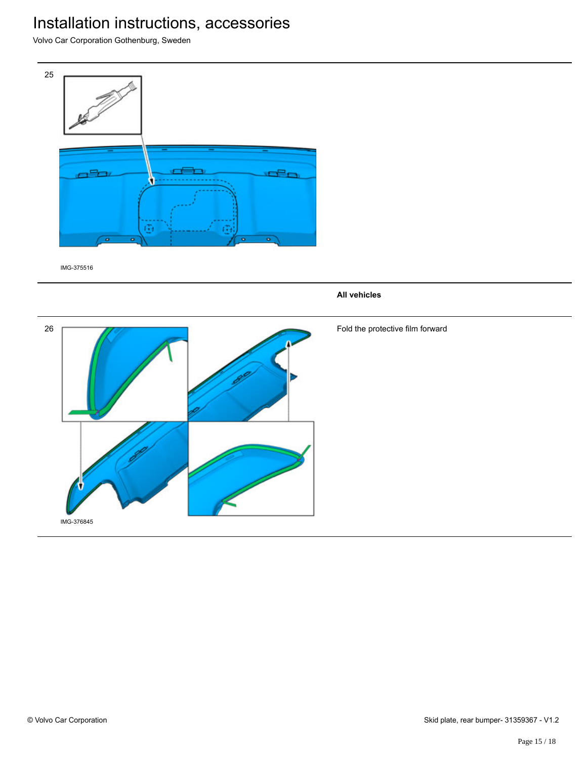Volvo Car Corporation Gothenburg, Sweden



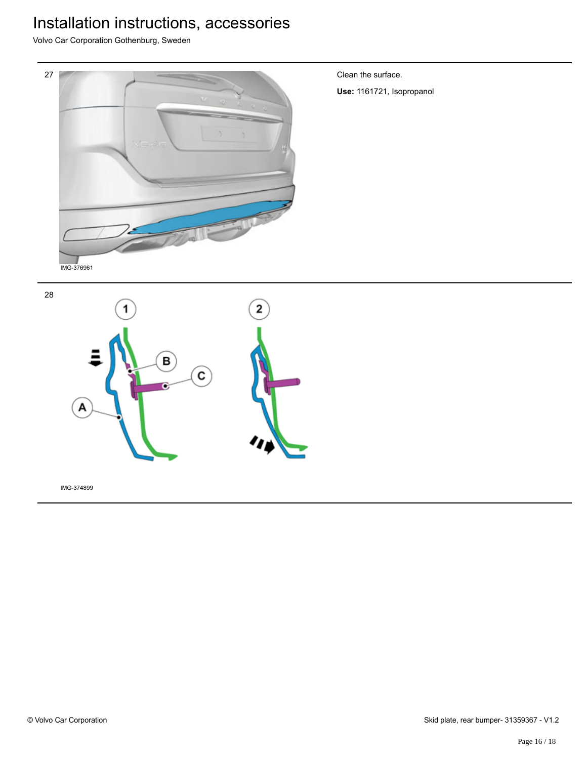Volvo Car Corporation Gothenburg, Sweden



Clean the surface.

**Use:** 1161721, Isopropanol

28

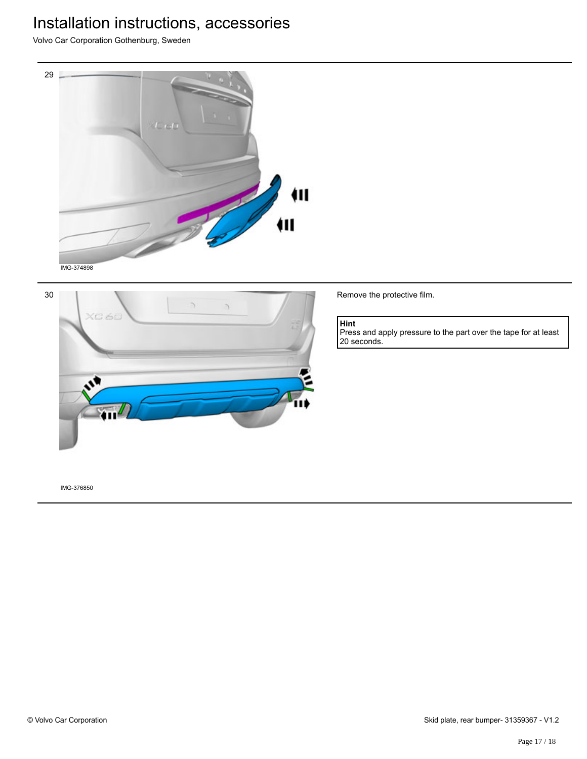Volvo Car Corporation Gothenburg, Sweden





Remove the protective film.

#### **Hint**

Press and apply pressure to the part over the tape for at least 20 seconds.